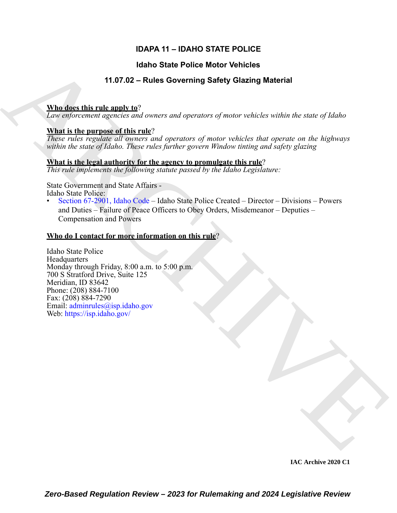## **IDAPA 11 – IDAHO STATE POLICE**

## **Idaho State Police Motor Vehicles**

## **11.07.02 – Rules Governing Safety Glazing Material**

## **Who does this rule apply to**?

*Law enforcement agencies and owners and operators of motor vehicles within the state of Idaho*

## **What is the purpose of this rule**?

*These rules regulate all owners and operators of motor vehicles that operate on the highways within the state of Idaho. These rules further govern Window tinting and safety glazing*

### **What is the legal authority for the agency to promulgate this rule**?

*This rule implements the following statute passed by the Idaho Legislature:*

State Government and State Affairs - Idaho State Police:

• Section 67-2901, Idaho Code – Idaho State Police Created – Director – Divisions – Powers and Duties – Failure of Peace Officers to Obey Orders, Misdemeanor – Deputies – Compensation and Powers

## **Who do I contact for more information on this rule**?

**Hand State Police Motor Vehicles**<br> **Maddee this rule of Soverning Safety Glazing Material**<br> **Maddee this rule and openion and one can operators** and operators of motor which without the same of block<br> **Have a signarize a** Idaho State Police **Headquarters** Monday through Friday, 8:00 a.m. to 5:00 p.m. 700 S Stratford Drive, Suite 125 Meridian, ID 83642 Phone: (208) 884-7100 Fax: (208) 884-7290 Email: adminrules@isp.idaho.gov Web: https://isp.idaho.gov/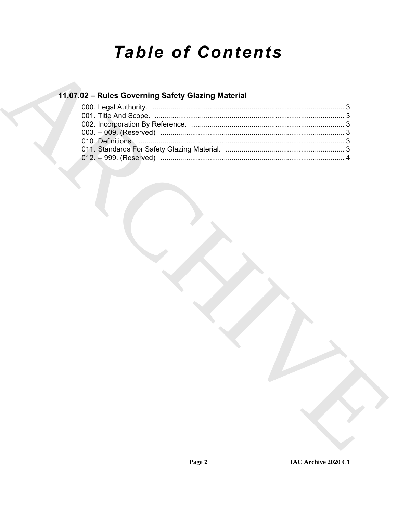# **Table of Contents**

## 11.07.02 - Rules Governing Safety Glazing Material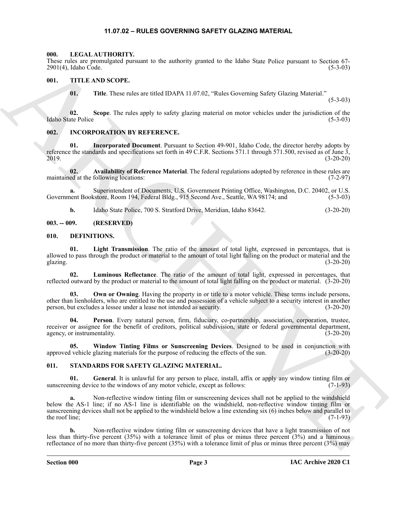#### **11.07.02 – RULES GOVERNING SAFETY GLAZING MATERIAL**

#### <span id="page-2-14"></span><span id="page-2-1"></span><span id="page-2-0"></span>**000. LEGAL AUTHORITY.**

These rules are promulgated pursuant to the authority granted to the Idaho State Police pursuant to Section 67- 2901(4), Idaho Code. (5-3-03)

#### <span id="page-2-2"></span>**001. TITLE AND SCOPE.**

<span id="page-2-17"></span>**01.** Title. These rules are titled IDAPA 11.07.02, "Rules Governing Safety Glazing Material."

 $(5-3-03)$ 

**02. Scope**. The rules apply to safety glazing material on motor vehicles under the jurisdiction of the Idaho State Police (5-3-03)

#### <span id="page-2-13"></span><span id="page-2-3"></span>**002. INCORPORATION BY REFERENCE.**

**01. Incorporated Document**. Pursuant to Section 49-901, Idaho Code, the director hereby adopts by reference the standards and specifications set forth in 49 C.F.R. Sections 571.1 through 571.500, revised as of June 3, 2019. 2019. (3-20-20)

**02.** Availability of Reference Material. The federal regulations adopted by reference in these rules are ed at the following locations: (7-2-97) maintained at the following locations:

**a.** Superintendent of Documents, U.S. Government Printing Office, Washington, D.C. 20402, or U.S. Government Bookstore, Room 194, Federal Bldg., 915 Second Ave., Seattle, WA 98174; and (5-3-03)

<span id="page-2-8"></span><span id="page-2-7"></span>**b.** Idaho State Police, 700 S. Stratford Drive, Meridian, Idaho 83642. (3-20-20)

#### <span id="page-2-4"></span>**003. -- 009. (RESERVED)**

#### <span id="page-2-5"></span>**010. DEFINITIONS.**

**01. Light Transmission**. The ratio of the amount of total light, expressed in percentages, that is allowed to pass through the product or material to the amount of total light falling on the product or material and the glazing. (3-20-20)

<span id="page-2-9"></span>**02. Luminous Reflectance**. The ratio of the amount of total light, expressed in percentages, that reflected outward by the product or material to the amount of total light falling on the product or material. (3-20-20)

<span id="page-2-10"></span>**Own or Owning**. Having the property in or title to a motor vehicle. These terms include persons, other than lienholders, who are entitled to the use and possession of a vehicle subject to a security interest in another person, but excludes a lessee under a lease not intended as security. (3-20-20)

<span id="page-2-11"></span>**04. Person**. Every natural person, firm, fiduciary, co-partnership, association, corporation, trustee, receiver or assignee for the benefit of creditors, political subdivision, state or federal governmental department, agency, or instrumentality. (3-20-20) (3-20-20)

<span id="page-2-12"></span>**05. Window Tinting Films or Sunscreening Devices**. Designed to be used in conjunction with vehicle glazing materials for the purpose of reducing the effects of the sun. (3-20-20) approved vehicle glazing materials for the purpose of reducing the effects of the sun.

#### <span id="page-2-15"></span><span id="page-2-6"></span>**011. STANDARDS FOR SAFETY GLAZING MATERIAL.**

<span id="page-2-16"></span>**01.** General. It is unlawful for any person to place, install, affix or apply any window tinting film or ning device to the windows of any motor vehicle, except as follows: (7-1-93) sunscreening device to the windows of any motor vehicle, except as follows:

The rate of Schematical process.<br>
2010, Indice News Patrick Core and the state of the state of the state of the state of the rate of the rate of the state of the state of the rate of the rate of the rate of the rate of th **a.** Non-reflective window tinting film or sunscreening devices shall not be applied to the windshield below the AS-1 line; if no AS-1 line is identifiable on the windshield, non-reflective window tinting film or sunscreening devices shall not be applied to the windshield below a line extending six (6) inches below and parallel to the roof line;  $(7-1-93)$ 

**b.** Non-reflective window tinting film or sunscreening devices that have a light transmission of not less than thirty-five percent (35%) with a tolerance limit of plus or minus three percent (3%) and a luminous reflectance of no more than thirty-five percent (35%) with a tolerance limit of plus or minus three percent (3%) may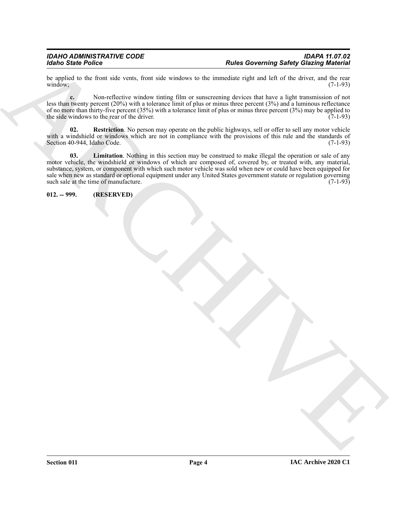be applied to the front side vents, front side windows to the immediate right and left of the driver, and the rear window; (7-1-93) window; (7-1-93)

**c.** Non-reflective window tinting film or sunscreening devices that have a light transmission of not less than twenty percent (20%) with a tolerance limit of plus or minus three percent (3%) and a luminous reflectance of no more than thirty-five percent  $(35%)$  with a tolerance limit of plus or minus three percent  $(3%)$  may be applied to the side windows to the rear of the driver. the side windows to the rear of the driver.

<span id="page-3-2"></span><span id="page-3-1"></span>**02. Restriction**. No person may operate on the public highways, sell or offer to sell any motor vehicle with a windshield or windows which are not in compliance with the provisions of this rule and the standards of Section 40-944, Idaho Code. (7-1-93)

For the Poisson in the state of the state of the state of the state of the state of the state of the state of the state of the state of the state of the state of the state of the state of the state of the state of the sta **03. Limitation**. Nothing in this section may be construed to make illegal the operation or sale of any motor vehicle, the windshield or windows of which are composed of, covered by, or treated with, any material, substance, system, or component with which such motor vehicle was sold when new or could have been equipped for sale when new as standard or optional equipment under any United States government statute or regulation governing<br>such sale at the time of manufacture. (7-1-93) such sale at the time of manufacture.

<span id="page-3-0"></span>**012. -- 999. (RESERVED)**